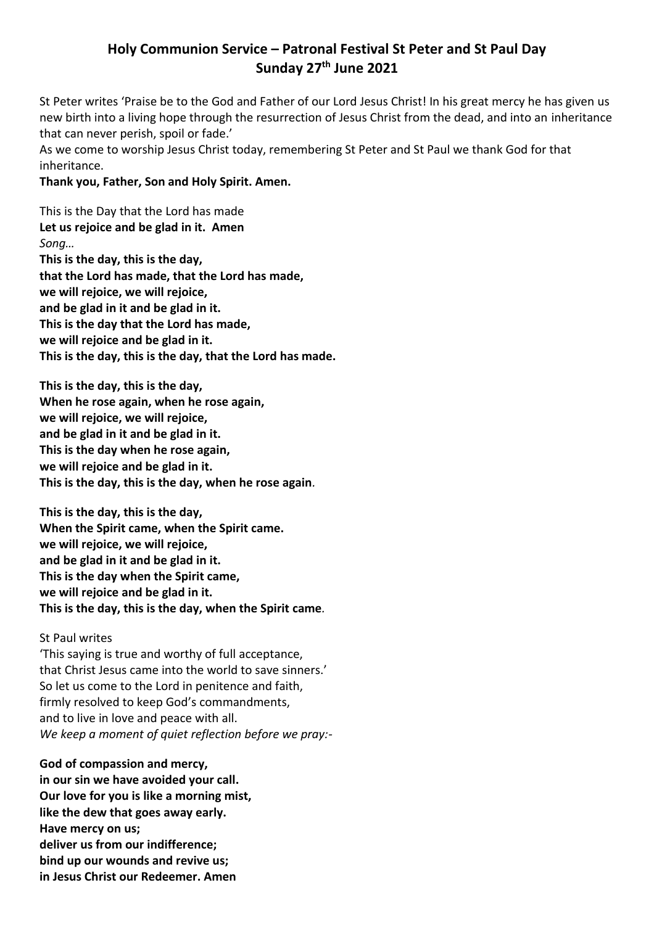# **Holy Communion Service – Patronal Festival St Peter and St Paul Day Sunday 27th June 2021**

St Peter writes 'Praise be to the God and Father of our Lord Jesus Christ! In his great mercy he has given us new birth into a living hope through the resurrection of Jesus Christ from the dead, and into an inheritance that can never perish, spoil or fade.'

As we come to worship Jesus Christ today, remembering St Peter and St Paul we thank God for that inheritance.

# **Thank you, Father, Son and Holy Spirit. Amen.**

This is the Day that the Lord has made **Let us rejoice and be glad in it. Amen** *Song…* **This is the day, this is the day, that the Lord has made, that the Lord has made, we will rejoice, we will rejoice, and be glad in it and be glad in it. This is the day that the Lord has made, we will rejoice and be glad in it. This is the day, this is the day, that the Lord has made.**

**This is the day, this is the day, When he rose again, when he rose again, we will rejoice, we will rejoice, and be glad in it and be glad in it. This is the day when he rose again, we will rejoice and be glad in it. This is the day, this is the day, when he rose again***.*

**This is the day, this is the day, When the Spirit came, when the Spirit came. we will rejoice, we will rejoice, and be glad in it and be glad in it. This is the day when the Spirit came, we will rejoice and be glad in it. This is the day, this is the day, when the Spirit came***.*

# St Paul writes

'This saying is true and worthy of full acceptance, that Christ Jesus came into the world to save sinners.' So let us come to the Lord in penitence and faith, firmly resolved to keep God's commandments, and to live in love and peace with all. *We keep a moment of quiet reflection before we pray:-*

**God of compassion and mercy, in our sin we have avoided your call. Our love for you is like a morning mist, like the dew that goes away early. Have mercy on us; deliver us from our indifference; bind up our wounds and revive us; in Jesus Christ our Redeemer. Amen**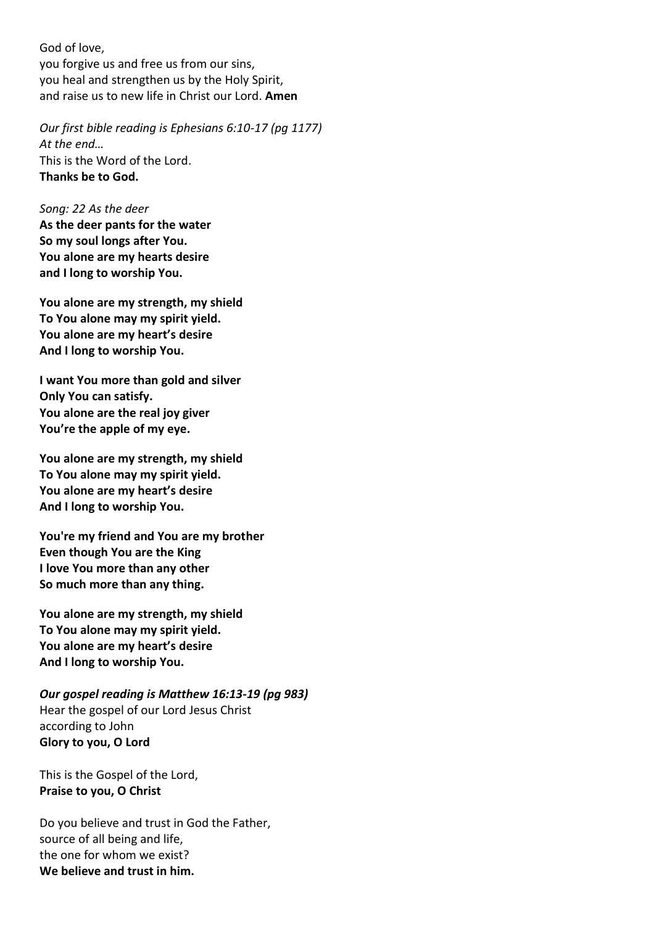God of love, you forgive us and free us from our sins, you heal and strengthen us by the Holy Spirit, and raise us to new life in Christ our Lord. **Amen**

*Our first bible reading is Ephesians 6:10-17 (pg 1177) At the end…* This is the Word of the Lord. **Thanks be to God.**

*Song: 22 As the deer* **As the deer pants for the water So my soul longs after You. You alone are my hearts desire and I long to worship You.**

**You alone are my strength, my shield To You alone may my spirit yield. You alone are my heart's desire And I long to worship You.**

**I want You more than gold and silver Only You can satisfy. You alone are the real joy giver You're the apple of my eye.**

**You alone are my strength, my shield To You alone may my spirit yield. You alone are my heart's desire And I long to worship You.**

**You're my friend and You are my brother Even though You are the King I love You more than any other So much more than any thing.**

**You alone are my strength, my shield To You alone may my spirit yield. You alone are my heart's desire And I long to worship You.**

*Our gospel reading is Matthew 16:13-19 (pg 983)* Hear the gospel of our Lord Jesus Christ according to John **Glory to you, O Lord**

This is the Gospel of the Lord, **Praise to you, O Christ**

Do you believe and trust in God the Father, source of all being and life, the one for whom we exist? **We believe and trust in him.**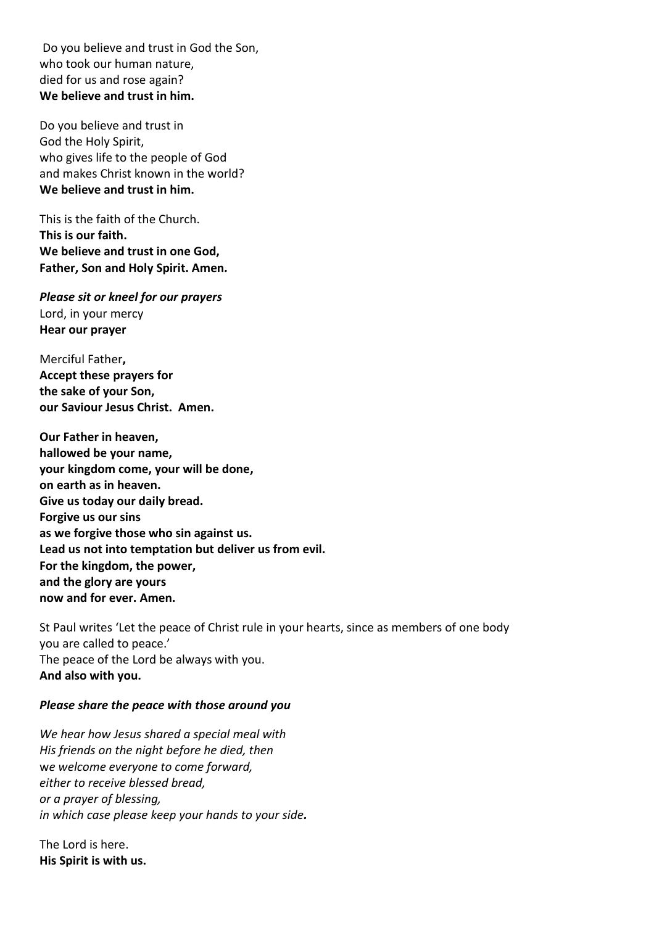Do you believe and trust in God the Son, who took our human nature, died for us and rose again? **We believe and trust in him.**

Do you believe and trust in God the Holy Spirit, who gives life to the people of God and makes Christ known in the world? **We believe and trust in him.**

This is the faith of the Church. **This is our faith. We believe and trust in one God, Father, Son and Holy Spirit. Amen***.*

*Please sit or kneel for our prayers*  Lord, in your mercy **Hear our prayer**

Merciful Father**, Accept these prayers for the sake of your Son, our Saviour Jesus Christ. Amen.** 

**Our Father in heaven, hallowed be your name, your kingdom come, your will be done, on earth as in heaven. Give us today our daily bread. Forgive us our sins as we forgive those who sin against us. Lead us not into temptation but deliver us from evil. For the kingdom, the power, and the glory are yours now and for ever. Amen.**

St Paul writes 'Let the peace of Christ rule in your hearts, since as members of one body you are called to peace.' The peace of the Lord be always with you. **And also with you.**

## *Please share the peace with those around you*

*We hear how Jesus shared a special meal with His friends on the night before he died, then* w*e welcome everyone to come forward, either to receive blessed bread, or a prayer of blessing, in which case please keep your hands to your side.*

The Lord is here. **His Spirit is with us.**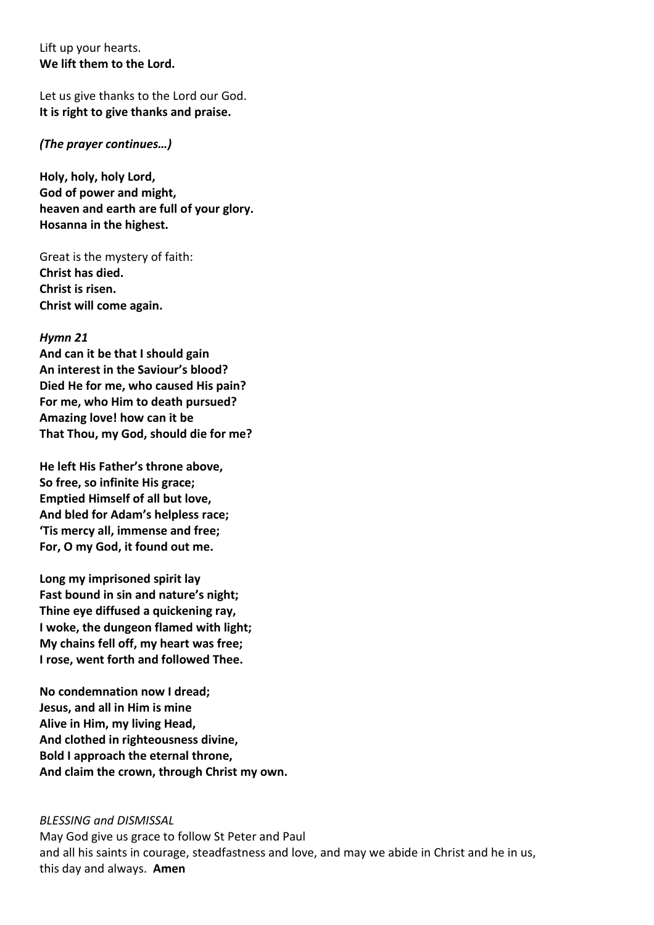Lift up your hearts. **We lift them to the Lord.**

Let us give thanks to the Lord our God. **It is right to give thanks and praise.**

## *(The prayer continues…)*

**Holy, holy, holy Lord, God of power and might, heaven and earth are full of your glory. Hosanna in the highest.**

Great is the mystery of faith: **Christ has died. Christ is risen. Christ will come again.**

## *Hymn 21*

**And can it be that I should gain An interest in the Saviour's blood? Died He for me, who caused His pain? For me, who Him to death pursued? Amazing love! how can it be That Thou, my God, should die for me?**

**He left His Father's throne above, So free, so infinite His grace; Emptied Himself of all but love, And bled for Adam's helpless race; 'Tis mercy all, immense and free; For, O my God, it found out me.**

**Long my imprisoned spirit lay Fast bound in sin and nature's night; Thine eye diffused a quickening ray, I woke, the dungeon flamed with light; My chains fell off, my heart was free; I rose, went forth and followed Thee.**

**No condemnation now I dread; Jesus, and all in Him is mine Alive in Him, my living Head, And clothed in righteousness divine, Bold I approach the eternal throne, And claim the crown, through Christ my own.**

#### *BLESSING and DISMISSAL*

May God give us grace to follow St Peter and Paul and all his saints in courage, steadfastness and love, and may we abide in Christ and he in us, this day and always. **Amen**